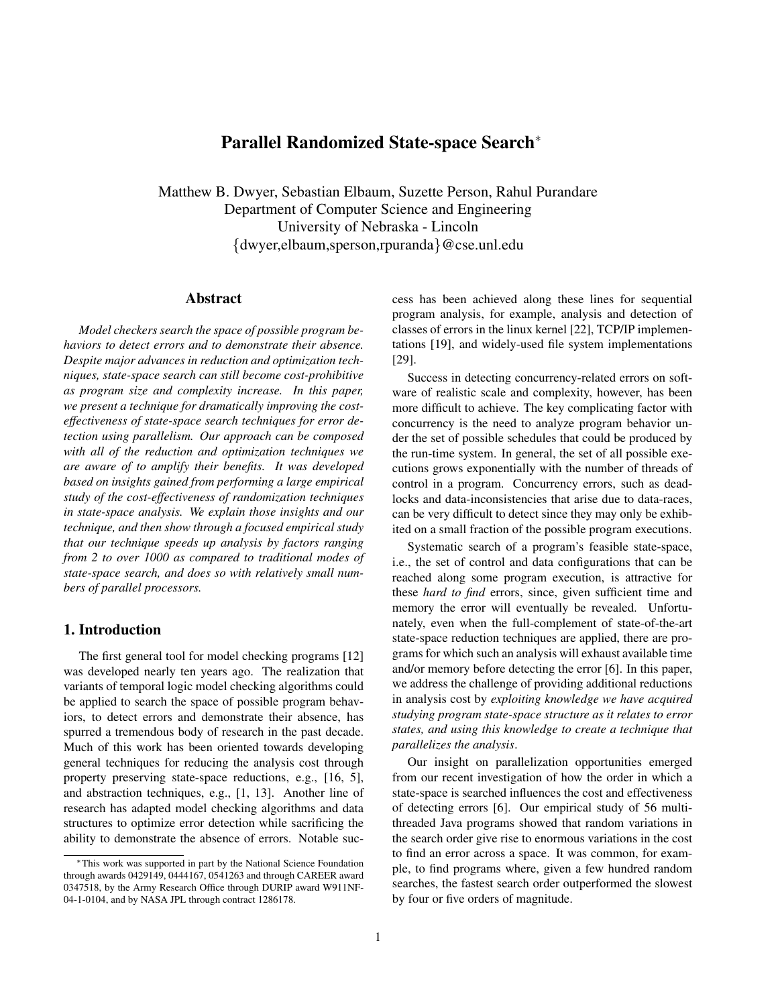# Parallel Randomized State-space Search<sup>∗</sup>

Matthew B. Dwyer, Sebastian Elbaum, Suzette Person, Rahul Purandare Department of Computer Science and Engineering University of Nebraska - Lincoln {dwyer,elbaum,sperson,rpuranda}@cse.unl.edu

#### Abstract

*Model checkers search the space of possible program behaviors to detect errors and to demonstrate their absence. Despite major advances in reduction and optimization techniques, state-space search can still become cost-prohibitive as program size and complexity increase. In this paper, we present a technique for dramatically improving the costeffectiveness of state-space search techniques for error detection using parallelism. Our approach can be composed with all of the reduction and optimization techniques we are aware of to amplify their benefits. It was developed based on insights gained from performing a large empirical study of the cost-effectiveness of randomization techniques in state-space analysis. We explain those insights and our technique, and then show through a focused empirical study that our technique speeds up analysis by factors ranging from 2 to over 1000 as compared to traditional modes of state-space search, and does so with relatively small numbers of parallel processors.*

## 1. Introduction

The first general tool for model checking programs [12] was developed nearly ten years ago. The realization that variants of temporal logic model checking algorithms could be applied to search the space of possible program behaviors, to detect errors and demonstrate their absence, has spurred a tremendous body of research in the past decade. Much of this work has been oriented towards developing general techniques for reducing the analysis cost through property preserving state-space reductions, e.g., [16, 5], and abstraction techniques, e.g., [1, 13]. Another line of research has adapted model checking algorithms and data structures to optimize error detection while sacrificing the ability to demonstrate the absence of errors. Notable success has been achieved along these lines for sequential program analysis, for example, analysis and detection of classes of errors in the linux kernel [22], TCP/IP implementations [19], and widely-used file system implementations [29].

Success in detecting concurrency-related errors on software of realistic scale and complexity, however, has been more difficult to achieve. The key complicating factor with concurrency is the need to analyze program behavior under the set of possible schedules that could be produced by the run-time system. In general, the set of all possible executions grows exponentially with the number of threads of control in a program. Concurrency errors, such as deadlocks and data-inconsistencies that arise due to data-races, can be very difficult to detect since they may only be exhibited on a small fraction of the possible program executions.

Systematic search of a program's feasible state-space, i.e., the set of control and data configurations that can be reached along some program execution, is attractive for these *hard to find* errors, since, given sufficient time and memory the error will eventually be revealed. Unfortunately, even when the full-complement of state-of-the-art state-space reduction techniques are applied, there are programs for which such an analysis will exhaust available time and/or memory before detecting the error [6]. In this paper, we address the challenge of providing additional reductions in analysis cost by *exploiting knowledge we have acquired studying program state-space structure as it relates to error states, and using this knowledge to create a technique that parallelizes the analysis*.

Our insight on parallelization opportunities emerged from our recent investigation of how the order in which a state-space is searched influences the cost and effectiveness of detecting errors [6]. Our empirical study of 56 multithreaded Java programs showed that random variations in the search order give rise to enormous variations in the cost to find an error across a space. It was common, for example, to find programs where, given a few hundred random searches, the fastest search order outperformed the slowest by four or five orders of magnitude.

<sup>∗</sup>This work was supported in part by the National Science Foundation through awards 0429149, 0444167, 0541263 and through CAREER award 0347518, by the Army Research Office through DURIP award W911NF-04-1-0104, and by NASA JPL through contract 1286178.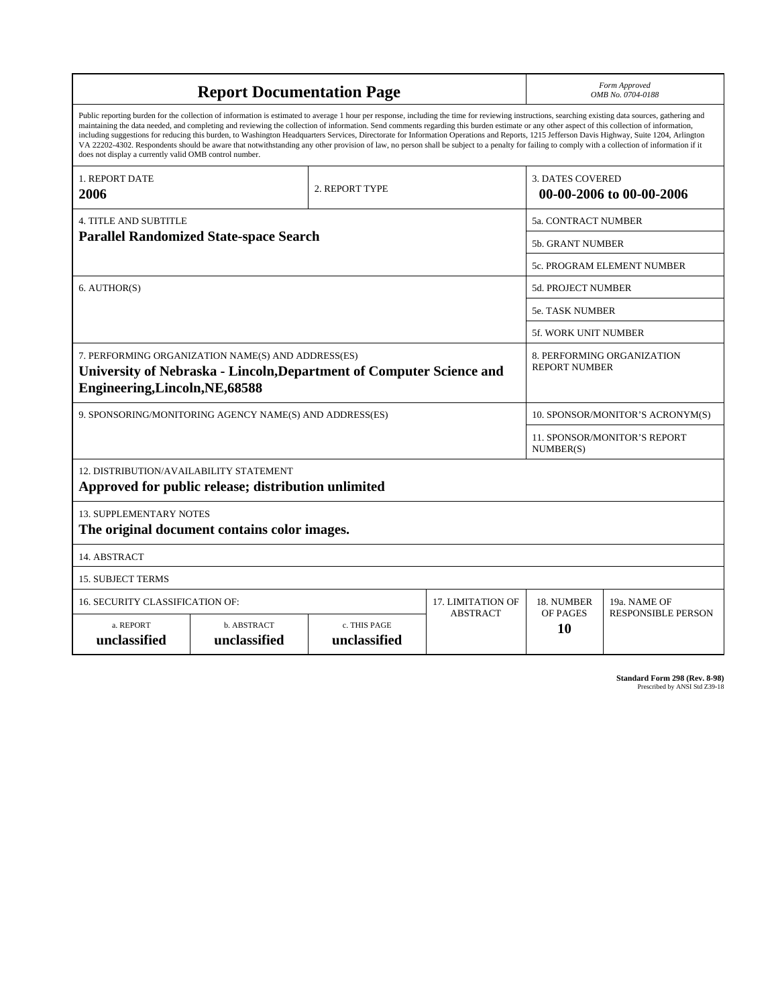| <b>Report Documentation Page</b>                                                                                                                                                                                                                                                                                                                                                                                                                                                                                                                                                                                                                                                                                                                                                                                                                                   |                             |                                                                       |                          | Form Approved<br>OMB No. 0704-0188                 |                           |  |  |
|--------------------------------------------------------------------------------------------------------------------------------------------------------------------------------------------------------------------------------------------------------------------------------------------------------------------------------------------------------------------------------------------------------------------------------------------------------------------------------------------------------------------------------------------------------------------------------------------------------------------------------------------------------------------------------------------------------------------------------------------------------------------------------------------------------------------------------------------------------------------|-----------------------------|-----------------------------------------------------------------------|--------------------------|----------------------------------------------------|---------------------------|--|--|
| Public reporting burden for the collection of information is estimated to average 1 hour per response, including the time for reviewing instructions, searching existing data sources, gathering and<br>maintaining the data needed, and completing and reviewing the collection of information. Send comments regarding this burden estimate or any other aspect of this collection of information,<br>including suggestions for reducing this burden, to Washington Headquarters Services, Directorate for Information Operations and Reports, 1215 Jefferson Davis Highway, Suite 1204, Arlington<br>VA 22202-4302. Respondents should be aware that notwithstanding any other provision of law, no person shall be subject to a penalty for failing to comply with a collection of information if it<br>does not display a currently valid OMB control number. |                             |                                                                       |                          |                                                    |                           |  |  |
| <b>1. REPORT DATE</b><br>2006                                                                                                                                                                                                                                                                                                                                                                                                                                                                                                                                                                                                                                                                                                                                                                                                                                      |                             | <b>3. DATES COVERED</b><br>2. REPORT TYPE<br>00-00-2006 to 00-00-2006 |                          |                                                    |                           |  |  |
| <b>4. TITLE AND SUBTITLE</b><br><b>Parallel Randomized State-space Search</b>                                                                                                                                                                                                                                                                                                                                                                                                                                                                                                                                                                                                                                                                                                                                                                                      |                             |                                                                       |                          | 5a. CONTRACT NUMBER                                |                           |  |  |
|                                                                                                                                                                                                                                                                                                                                                                                                                                                                                                                                                                                                                                                                                                                                                                                                                                                                    |                             |                                                                       |                          | <b>5b. GRANT NUMBER</b>                            |                           |  |  |
|                                                                                                                                                                                                                                                                                                                                                                                                                                                                                                                                                                                                                                                                                                                                                                                                                                                                    |                             |                                                                       |                          | 5c. PROGRAM ELEMENT NUMBER                         |                           |  |  |
| 6. AUTHOR(S)                                                                                                                                                                                                                                                                                                                                                                                                                                                                                                                                                                                                                                                                                                                                                                                                                                                       |                             |                                                                       |                          | <b>5d. PROJECT NUMBER</b>                          |                           |  |  |
|                                                                                                                                                                                                                                                                                                                                                                                                                                                                                                                                                                                                                                                                                                                                                                                                                                                                    |                             |                                                                       |                          | <b>5e. TASK NUMBER</b>                             |                           |  |  |
|                                                                                                                                                                                                                                                                                                                                                                                                                                                                                                                                                                                                                                                                                                                                                                                                                                                                    |                             |                                                                       |                          | 5f. WORK UNIT NUMBER                               |                           |  |  |
| 7. PERFORMING ORGANIZATION NAME(S) AND ADDRESS(ES)<br>University of Nebraska - Lincoln, Department of Computer Science and<br>Engineering, Lincoln, NE, 68588                                                                                                                                                                                                                                                                                                                                                                                                                                                                                                                                                                                                                                                                                                      |                             |                                                                       |                          | 8. PERFORMING ORGANIZATION<br><b>REPORT NUMBER</b> |                           |  |  |
| 9. SPONSORING/MONITORING AGENCY NAME(S) AND ADDRESS(ES)                                                                                                                                                                                                                                                                                                                                                                                                                                                                                                                                                                                                                                                                                                                                                                                                            |                             |                                                                       |                          | 10. SPONSOR/MONITOR'S ACRONYM(S)                   |                           |  |  |
|                                                                                                                                                                                                                                                                                                                                                                                                                                                                                                                                                                                                                                                                                                                                                                                                                                                                    |                             |                                                                       |                          | <b>11. SPONSOR/MONITOR'S REPORT</b><br>NUMBER(S)   |                           |  |  |
| 12. DISTRIBUTION/AVAILABILITY STATEMENT<br>Approved for public release; distribution unlimited                                                                                                                                                                                                                                                                                                                                                                                                                                                                                                                                                                                                                                                                                                                                                                     |                             |                                                                       |                          |                                                    |                           |  |  |
| <b>13. SUPPLEMENTARY NOTES</b><br>The original document contains color images.                                                                                                                                                                                                                                                                                                                                                                                                                                                                                                                                                                                                                                                                                                                                                                                     |                             |                                                                       |                          |                                                    |                           |  |  |
| 14. ABSTRACT                                                                                                                                                                                                                                                                                                                                                                                                                                                                                                                                                                                                                                                                                                                                                                                                                                                       |                             |                                                                       |                          |                                                    |                           |  |  |
| <b>15. SUBJECT TERMS</b>                                                                                                                                                                                                                                                                                                                                                                                                                                                                                                                                                                                                                                                                                                                                                                                                                                           |                             |                                                                       |                          |                                                    |                           |  |  |
| <b>16. SECURITY CLASSIFICATION OF:</b>                                                                                                                                                                                                                                                                                                                                                                                                                                                                                                                                                                                                                                                                                                                                                                                                                             |                             |                                                                       | <b>17. LIMITATION OF</b> | 18. NUMBER                                         | 19a. NAME OF              |  |  |
| a. REPORT<br>unclassified                                                                                                                                                                                                                                                                                                                                                                                                                                                                                                                                                                                                                                                                                                                                                                                                                                          | b. ABSTRACT<br>unclassified | c. THIS PAGE<br>unclassified                                          | <b>ABSTRACT</b>          | OF PAGES<br>10                                     | <b>RESPONSIBLE PERSON</b> |  |  |

| <b>Standard Form 298 (Rev. 8-98)</b> |                               |  |  |
|--------------------------------------|-------------------------------|--|--|
|                                      | Prescribed by ANSI Std Z39-18 |  |  |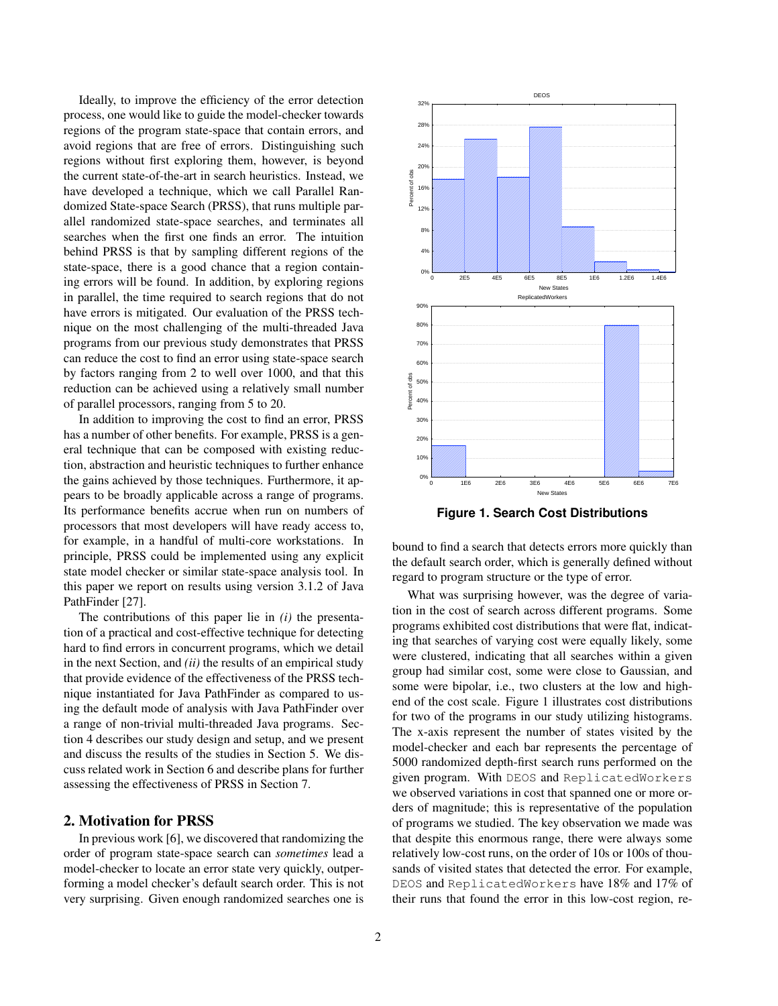Ideally, to improve the efficiency of the error detection process, one would like to guide the model-checker towards regions of the program state-space that contain errors, and avoid regions that are free of errors. Distinguishing such regions without first exploring them, however, is beyond the current state-of-the-art in search heuristics. Instead, we have developed a technique, which we call Parallel Randomized State-space Search (PRSS), that runs multiple parallel randomized state-space searches, and terminates all searches when the first one finds an error. The intuition behind PRSS is that by sampling different regions of the state-space, there is a good chance that a region containing errors will be found. In addition, by exploring regions in parallel, the time required to search regions that do not have errors is mitigated. Our evaluation of the PRSS technique on the most challenging of the multi-threaded Java programs from our previous study demonstrates that PRSS can reduce the cost to find an error using state-space search by factors ranging from 2 to well over 1000, and that this reduction can be achieved using a relatively small number of parallel processors, ranging from 5 to 20.

In addition to improving the cost to find an error, PRSS has a number of other benefits. For example, PRSS is a general technique that can be composed with existing reduction, abstraction and heuristic techniques to further enhance the gains achieved by those techniques. Furthermore, it appears to be broadly applicable across a range of programs. Its performance benefits accrue when run on numbers of processors that most developers will have ready access to, for example, in a handful of multi-core workstations. In principle, PRSS could be implemented using any explicit state model checker or similar state-space analysis tool. In this paper we report on results using version 3.1.2 of Java PathFinder [27].

The contributions of this paper lie in *(i)* the presentation of a practical and cost-effective technique for detecting hard to find errors in concurrent programs, which we detail in the next Section, and *(ii)* the results of an empirical study that provide evidence of the effectiveness of the PRSS technique instantiated for Java PathFinder as compared to using the default mode of analysis with Java PathFinder over a range of non-trivial multi-threaded Java programs. Section 4 describes our study design and setup, and we present and discuss the results of the studies in Section 5. We discuss related work in Section 6 and describe plans for further assessing the effectiveness of PRSS in Section 7.

## 2. Motivation for PRSS

In previous work [6], we discovered that randomizing the order of program state-space search can *sometimes* lead a model-checker to locate an error state very quickly, outperforming a model checker's default search order. This is not very surprising. Given enough randomized searches one is



**Figure 1. Search Cost Distributions**

bound to find a search that detects errors more quickly than the default search order, which is generally defined without regard to program structure or the type of error.

What was surprising however, was the degree of variation in the cost of search across different programs. Some programs exhibited cost distributions that were flat, indicating that searches of varying cost were equally likely, some were clustered, indicating that all searches within a given group had similar cost, some were close to Gaussian, and some were bipolar, i.e., two clusters at the low and highend of the cost scale. Figure 1 illustrates cost distributions for two of the programs in our study utilizing histograms. The x-axis represent the number of states visited by the model-checker and each bar represents the percentage of 5000 randomized depth-first search runs performed on the given program. With DEOS and ReplicatedWorkers we observed variations in cost that spanned one or more orders of magnitude; this is representative of the population of programs we studied. The key observation we made was that despite this enormous range, there were always some relatively low-cost runs, on the order of 10s or 100s of thousands of visited states that detected the error. For example, DEOS and ReplicatedWorkers have 18% and 17% of their runs that found the error in this low-cost region, re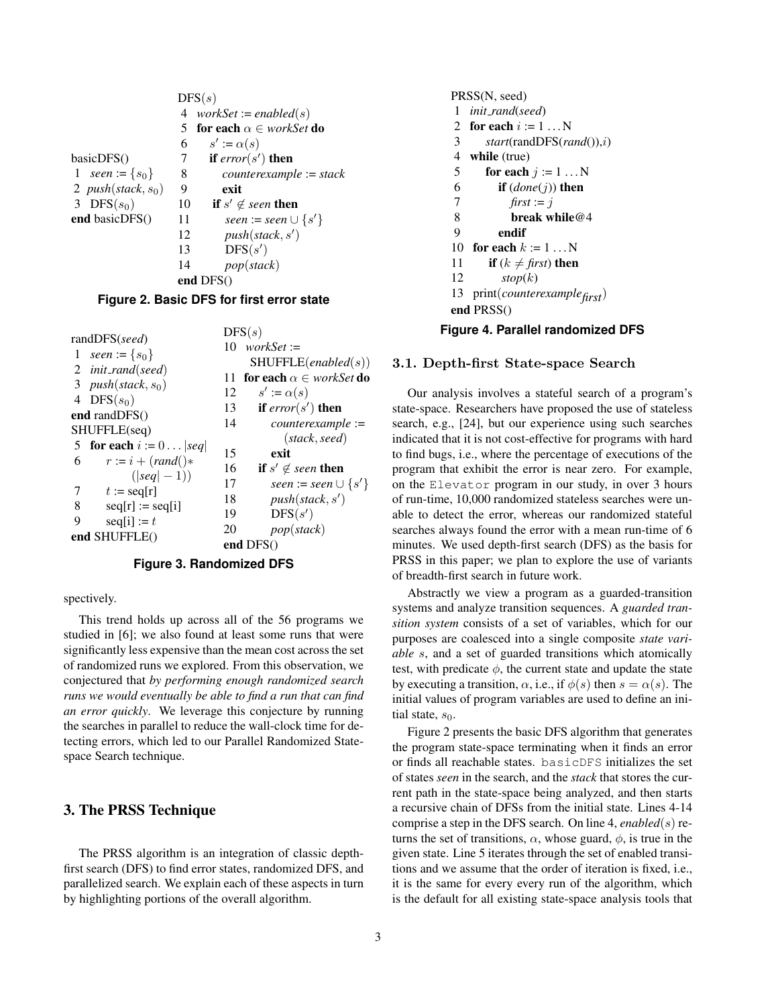basicDFS() 1 *seen* :=  $\{s_0\}$ 2  $push(state, s_0)$ 3 DFS $(s_0)$ end basicDFS()  $DFS(s)$ 4 *workSet* := *enabled*(s) 5 for each  $\alpha \in \text{workSet}$  do 6  $s' := \alpha(s)$ 7 if  $error(s')$  then 8 *counterexample* := *stack* 9 exit 10 if  $s' \notin seen$  then 11 **seen** := **seen**  $\cup$   $\{s'\}$ 12  $push(state, s')$ 13  $DFS(s')$ 14 *pop*(*stack*) end DFS()

# **Figure 2. Basic DFS for first error state**

|                                          | DFS(s)                                       |
|------------------------------------------|----------------------------------------------|
| randDFS(seed)                            | $workSet :=$<br>10                           |
| <i>seen</i> := { $s_0$ }<br>$\mathbf{1}$ | SHUFFLE(enabeled(s))                         |
| 2 $init$ <i>rand</i> (seed)              | 11 for each $\alpha \in$ workSet do          |
| 3 $push(state, s_0)$                     | 12<br>$s' := \alpha(s)$                      |
| 4 DFS $(s_0)$                            | if error(s') then<br>13                      |
| <b>end</b> randDFS()                     | 14<br>$counterexample :=$                    |
| SHUFFLE(seq)                             | (strack, seed)                               |
| 5 for each $i := 0   seq $               |                                              |
| $r := i + (rand() *$<br>6                | 15<br>exit                                   |
| $( seq -1))$                             | <b>if</b> $s' \notin \text{seen}$ then<br>16 |
|                                          | seen := seen $\cup \{s'\}$<br>17             |
| 7<br>$t := \text{seq}[r]$                | push(state, s')<br>18                        |
| 8<br>$seq[r] := seq[i]$                  | DFS(s')<br>19                                |
| 9<br>$seq[i] := t$                       | pop(state)<br>20                             |
| end SHUFFLE()                            |                                              |
|                                          | end $DFS()$                                  |

# **Figure 3. Randomized DFS**

#### spectively.

This trend holds up across all of the 56 programs we studied in [6]; we also found at least some runs that were significantly less expensive than the mean cost across the set of randomized runs we explored. From this observation, we conjectured that *by performing enough randomized search runs we would eventually be able to find a run that can find an error quickly*. We leverage this conjecture by running the searches in parallel to reduce the wall-clock time for detecting errors, which led to our Parallel Randomized Statespace Search technique.

# 3. The PRSS Technique

The PRSS algorithm is an integration of classic depthfirst search (DFS) to find error states, randomized DFS, and parallelized search. We explain each of these aspects in turn by highlighting portions of the overall algorithm.

PRSS(N, seed) 1 *init rand*(*seed*) 2 for each  $i := 1 ... N$ 3 *start*(randDFS(*rand*()),i) 4 while (true) 5 for each  $j := 1 ... N$ 6 **if**  $(done(j))$  **then** 7  $first := j$ 8 break while@4 9 endif 10 for each  $k := 1 \dots N$ 11 if  $(k \neq \text{first})$  then 12  $stop(k)$ 13 print(*counterexamplefirst*) end PRSS()

#### **Figure 4. Parallel randomized DFS**

## 3.1. Depth-first State-space Search

Our analysis involves a stateful search of a program's state-space. Researchers have proposed the use of stateless search, e.g., [24], but our experience using such searches indicated that it is not cost-effective for programs with hard to find bugs, i.e., where the percentage of executions of the program that exhibit the error is near zero. For example, on the Elevator program in our study, in over 3 hours of run-time, 10,000 randomized stateless searches were unable to detect the error, whereas our randomized stateful searches always found the error with a mean run-time of 6 minutes. We used depth-first search (DFS) as the basis for PRSS in this paper; we plan to explore the use of variants of breadth-first search in future work.

Abstractly we view a program as a guarded-transition systems and analyze transition sequences. A *guarded transition system* consists of a set of variables, which for our purposes are coalesced into a single composite *state variable* s, and a set of guarded transitions which atomically test, with predicate  $\phi$ , the current state and update the state by executing a transition,  $\alpha$ , i.e., if  $\phi(s)$  then  $s = \alpha(s)$ . The initial values of program variables are used to define an initial state,  $s_0$ .

Figure 2 presents the basic DFS algorithm that generates the program state-space terminating when it finds an error or finds all reachable states. basicDFS initializes the set of states *seen* in the search, and the *stack* that stores the current path in the state-space being analyzed, and then starts a recursive chain of DFSs from the initial state. Lines 4-14 comprise a step in the DFS search. On line 4, *enabled*(s) returns the set of transitions,  $\alpha$ , whose guard,  $\phi$ , is true in the given state. Line 5 iterates through the set of enabled transitions and we assume that the order of iteration is fixed, i.e., it is the same for every every run of the algorithm, which is the default for all existing state-space analysis tools that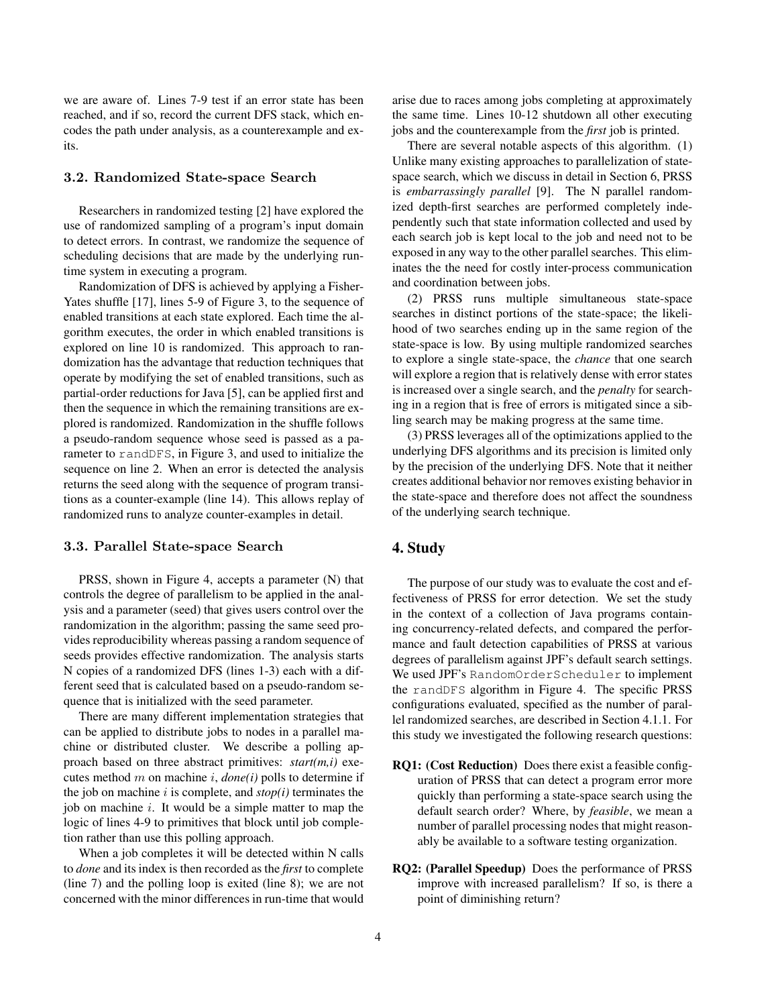we are aware of. Lines 7-9 test if an error state has been reached, and if so, record the current DFS stack, which encodes the path under analysis, as a counterexample and exits.

### 3.2. Randomized State-space Search

Researchers in randomized testing [2] have explored the use of randomized sampling of a program's input domain to detect errors. In contrast, we randomize the sequence of scheduling decisions that are made by the underlying runtime system in executing a program.

Randomization of DFS is achieved by applying a Fisher-Yates shuffle [17], lines 5-9 of Figure 3, to the sequence of enabled transitions at each state explored. Each time the algorithm executes, the order in which enabled transitions is explored on line 10 is randomized. This approach to randomization has the advantage that reduction techniques that operate by modifying the set of enabled transitions, such as partial-order reductions for Java [5], can be applied first and then the sequence in which the remaining transitions are explored is randomized. Randomization in the shuffle follows a pseudo-random sequence whose seed is passed as a parameter to randDFS, in Figure 3, and used to initialize the sequence on line 2. When an error is detected the analysis returns the seed along with the sequence of program transitions as a counter-example (line 14). This allows replay of randomized runs to analyze counter-examples in detail.

#### 3.3. Parallel State-space Search

PRSS, shown in Figure 4, accepts a parameter (N) that controls the degree of parallelism to be applied in the analysis and a parameter (seed) that gives users control over the randomization in the algorithm; passing the same seed provides reproducibility whereas passing a random sequence of seeds provides effective randomization. The analysis starts N copies of a randomized DFS (lines 1-3) each with a different seed that is calculated based on a pseudo-random sequence that is initialized with the seed parameter.

There are many different implementation strategies that can be applied to distribute jobs to nodes in a parallel machine or distributed cluster. We describe a polling approach based on three abstract primitives: *start(m,i)* executes method m on machine i, *done(i)* polls to determine if the job on machine  $i$  is complete, and  $stop(i)$  terminates the job on machine  $i$ . It would be a simple matter to map the logic of lines 4-9 to primitives that block until job completion rather than use this polling approach.

When a job completes it will be detected within N calls to *done* and its index is then recorded as the *first* to complete (line 7) and the polling loop is exited (line 8); we are not concerned with the minor differences in run-time that would

arise due to races among jobs completing at approximately the same time. Lines 10-12 shutdown all other executing jobs and the counterexample from the *first* job is printed.

There are several notable aspects of this algorithm. (1) Unlike many existing approaches to parallelization of statespace search, which we discuss in detail in Section 6, PRSS is *embarrassingly parallel* [9]. The N parallel randomized depth-first searches are performed completely independently such that state information collected and used by each search job is kept local to the job and need not to be exposed in any way to the other parallel searches. This eliminates the the need for costly inter-process communication and coordination between jobs.

(2) PRSS runs multiple simultaneous state-space searches in distinct portions of the state-space; the likelihood of two searches ending up in the same region of the state-space is low. By using multiple randomized searches to explore a single state-space, the *chance* that one search will explore a region that is relatively dense with error states is increased over a single search, and the *penalty* for searching in a region that is free of errors is mitigated since a sibling search may be making progress at the same time.

(3) PRSS leverages all of the optimizations applied to the underlying DFS algorithms and its precision is limited only by the precision of the underlying DFS. Note that it neither creates additional behavior nor removes existing behavior in the state-space and therefore does not affect the soundness of the underlying search technique.

# 4. Study

The purpose of our study was to evaluate the cost and effectiveness of PRSS for error detection. We set the study in the context of a collection of Java programs containing concurrency-related defects, and compared the performance and fault detection capabilities of PRSS at various degrees of parallelism against JPF's default search settings. We used JPF's RandomOrderScheduler to implement the randDFS algorithm in Figure 4. The specific PRSS configurations evaluated, specified as the number of parallel randomized searches, are described in Section 4.1.1. For this study we investigated the following research questions:

- RQ1: (Cost Reduction) Does there exist a feasible configuration of PRSS that can detect a program error more quickly than performing a state-space search using the default search order? Where, by *feasible*, we mean a number of parallel processing nodes that might reasonably be available to a software testing organization.
- RQ2: (Parallel Speedup) Does the performance of PRSS improve with increased parallelism? If so, is there a point of diminishing return?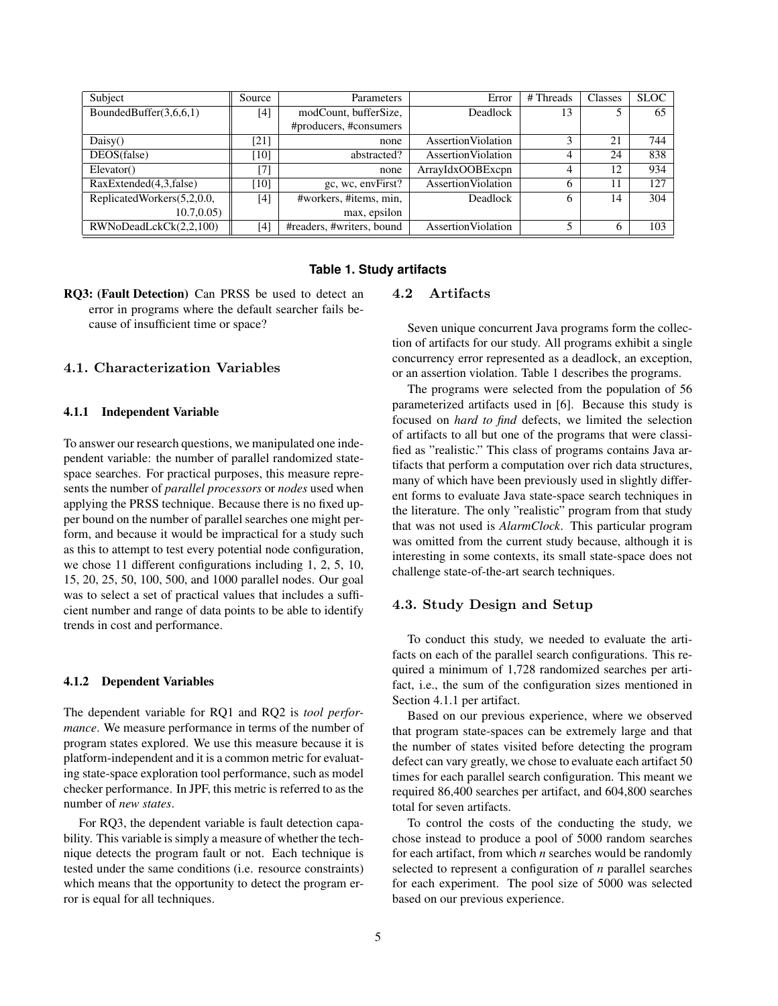| Subject                    | Source | Parameters                | Error                      | # Threads | Classes | <b>SLOC</b> |
|----------------------------|--------|---------------------------|----------------------------|-----------|---------|-------------|
| BoundedBuffer $(3,6,6,1)$  | [4]    | modCount, bufferSize,     | <b>Deadlock</b>            | 13        |         | 65          |
|                            |        | #producers, #consumers    |                            |           |         |             |
| Daily()                    | [21]   | none                      | <b>Assertion Violation</b> | c         | 21      | 744         |
| DEOS(false)                | 101    | abstracted?               | <b>Assertion Violation</b> |           | 24      | 838         |
| Elevantor()                |        | none                      | ArrayIdxOOBExcpn           | 4         | 12      | 934         |
| RaxExtended(4,3,false)     | 101    | gc, wc, envFirst?         | <b>AssertionViolation</b>  | 6         |         | 127         |
| ReplicatedWorkers(5,2,0.0, | [4]    | #workers, #items, min,    | Deadlock                   | 6         | 14      | 304         |
| 10.7, 0.05                 |        | max, epsilon              |                            |           |         |             |
| RWNoDeadLckCk(2,2,100)     | [4]    | #readers, #writers, bound | <b>Assertion Violation</b> |           | 6       | 103         |

# **Table 1. Study artifacts**

RQ3: (Fault Detection) Can PRSS be used to detect an error in programs where the default searcher fails because of insufficient time or space?

#### 4.1. Characterization Variables

#### 4.1.1 Independent Variable

To answer our research questions, we manipulated one independent variable: the number of parallel randomized statespace searches. For practical purposes, this measure represents the number of *parallel processors* or *nodes* used when applying the PRSS technique. Because there is no fixed upper bound on the number of parallel searches one might perform, and because it would be impractical for a study such as this to attempt to test every potential node configuration, we chose 11 different configurations including 1, 2, 5, 10, 15, 20, 25, 50, 100, 500, and 1000 parallel nodes. Our goal was to select a set of practical values that includes a sufficient number and range of data points to be able to identify trends in cost and performance.

#### 4.1.2 Dependent Variables

The dependent variable for RQ1 and RQ2 is *tool performance*. We measure performance in terms of the number of program states explored. We use this measure because it is platform-independent and it is a common metric for evaluating state-space exploration tool performance, such as model checker performance. In JPF, this metric is referred to as the number of *new states*.

For RQ3, the dependent variable is fault detection capability. This variable is simply a measure of whether the technique detects the program fault or not. Each technique is tested under the same conditions (i.e. resource constraints) which means that the opportunity to detect the program error is equal for all techniques.

# 4.2 Artifacts

Seven unique concurrent Java programs form the collection of artifacts for our study. All programs exhibit a single concurrency error represented as a deadlock, an exception, or an assertion violation. Table 1 describes the programs.

The programs were selected from the population of 56 parameterized artifacts used in [6]. Because this study is focused on *hard to find* defects, we limited the selection of artifacts to all but one of the programs that were classified as "realistic." This class of programs contains Java artifacts that perform a computation over rich data structures, many of which have been previously used in slightly different forms to evaluate Java state-space search techniques in the literature. The only "realistic" program from that study that was not used is *AlarmClock*. This particular program was omitted from the current study because, although it is interesting in some contexts, its small state-space does not challenge state-of-the-art search techniques.

## 4.3. Study Design and Setup

To conduct this study, we needed to evaluate the artifacts on each of the parallel search configurations. This required a minimum of 1,728 randomized searches per artifact, i.e., the sum of the configuration sizes mentioned in Section 4.1.1 per artifact.

Based on our previous experience, where we observed that program state-spaces can be extremely large and that the number of states visited before detecting the program defect can vary greatly, we chose to evaluate each artifact 50 times for each parallel search configuration. This meant we required 86,400 searches per artifact, and 604,800 searches total for seven artifacts.

To control the costs of the conducting the study, we chose instead to produce a pool of 5000 random searches for each artifact, from which *n* searches would be randomly selected to represent a configuration of *n* parallel searches for each experiment. The pool size of 5000 was selected based on our previous experience.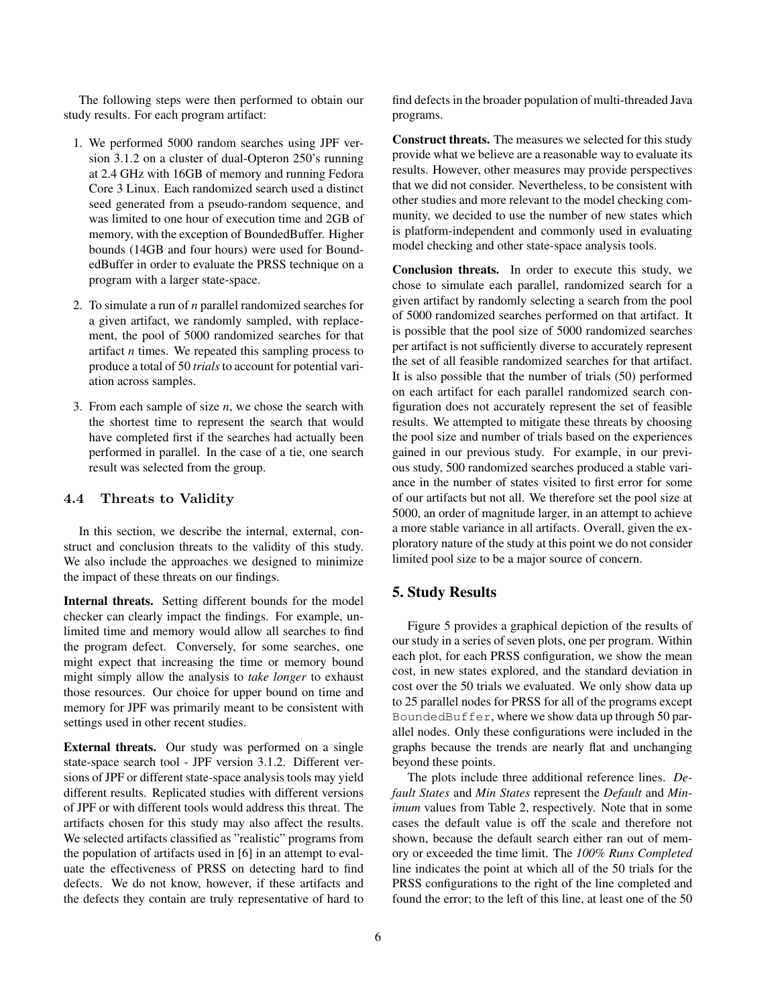The following steps were then performed to obtain our study results. For each program artifact:

- 1. We performed 5000 random searches using JPF version 3.1.2 on a cluster of dual-Opteron 250's running at 2.4 GHz with 16GB of memory and running Fedora Core 3 Linux. Each randomized search used a distinct seed generated from a pseudo-random sequence, and was limited to one hour of execution time and 2GB of memory, with the exception of BoundedBuffer. Higher bounds (14GB and four hours) were used for BoundedBuffer in order to evaluate the PRSS technique on a program with a larger state-space.
- 2. To simulate a run of *n* parallel randomized searches for a given artifact, we randomly sampled, with replacement, the pool of 5000 randomized searches for that artifact *n* times. We repeated this sampling process to produce a total of 50 *trials*to account for potential variation across samples.
- 3. From each sample of size *n*, we chose the search with the shortest time to represent the search that would have completed first if the searches had actually been performed in parallel. In the case of a tie, one search result was selected from the group.

### 4.4 Threats to Validity

In this section, we describe the internal, external, construct and conclusion threats to the validity of this study. We also include the approaches we designed to minimize the impact of these threats on our findings.

Internal threats. Setting different bounds for the model checker can clearly impact the findings. For example, unlimited time and memory would allow all searches to find the program defect. Conversely, for some searches, one might expect that increasing the time or memory bound might simply allow the analysis to *take longer* to exhaust those resources. Our choice for upper bound on time and memory for JPF was primarily meant to be consistent with settings used in other recent studies.

External threats. Our study was performed on a single state-space search tool - JPF version 3.1.2. Different versions of JPF or different state-space analysis tools may yield different results. Replicated studies with different versions of JPF or with different tools would address this threat. The artifacts chosen for this study may also affect the results. We selected artifacts classified as "realistic" programs from the population of artifacts used in [6] in an attempt to evaluate the effectiveness of PRSS on detecting hard to find defects. We do not know, however, if these artifacts and the defects they contain are truly representative of hard to

find defects in the broader population of multi-threaded Java programs.

Construct threats. The measures we selected for this study provide what we believe are a reasonable way to evaluate its results. However, other measures may provide perspectives that we did not consider. Nevertheless, to be consistent with other studies and more relevant to the model checking community, we decided to use the number of new states which is platform-independent and commonly used in evaluating model checking and other state-space analysis tools.

Conclusion threats. In order to execute this study, we chose to simulate each parallel, randomized search for a given artifact by randomly selecting a search from the pool of 5000 randomized searches performed on that artifact. It is possible that the pool size of 5000 randomized searches per artifact is not sufficiently diverse to accurately represent the set of all feasible randomized searches for that artifact. It is also possible that the number of trials (50) performed on each artifact for each parallel randomized search configuration does not accurately represent the set of feasible results. We attempted to mitigate these threats by choosing the pool size and number of trials based on the experiences gained in our previous study. For example, in our previous study, 500 randomized searches produced a stable variance in the number of states visited to first error for some of our artifacts but not all. We therefore set the pool size at 5000, an order of magnitude larger, in an attempt to achieve a more stable variance in all artifacts. Overall, given the exploratory nature of the study at this point we do not consider limited pool size to be a major source of concern.

# 5. Study Results

Figure 5 provides a graphical depiction of the results of our study in a series of seven plots, one per program. Within each plot, for each PRSS configuration, we show the mean cost, in new states explored, and the standard deviation in cost over the 50 trials we evaluated. We only show data up to 25 parallel nodes for PRSS for all of the programs except BoundedBuffer, where we show data up through 50 parallel nodes. Only these configurations were included in the graphs because the trends are nearly flat and unchanging beyond these points.

The plots include three additional reference lines. *Default States* and *Min States* represent the *Default* and *Minimum* values from Table 2, respectively. Note that in some cases the default value is off the scale and therefore not shown, because the default search either ran out of memory or exceeded the time limit. The *100% Runs Completed* line indicates the point at which all of the 50 trials for the PRSS configurations to the right of the line completed and found the error; to the left of this line, at least one of the 50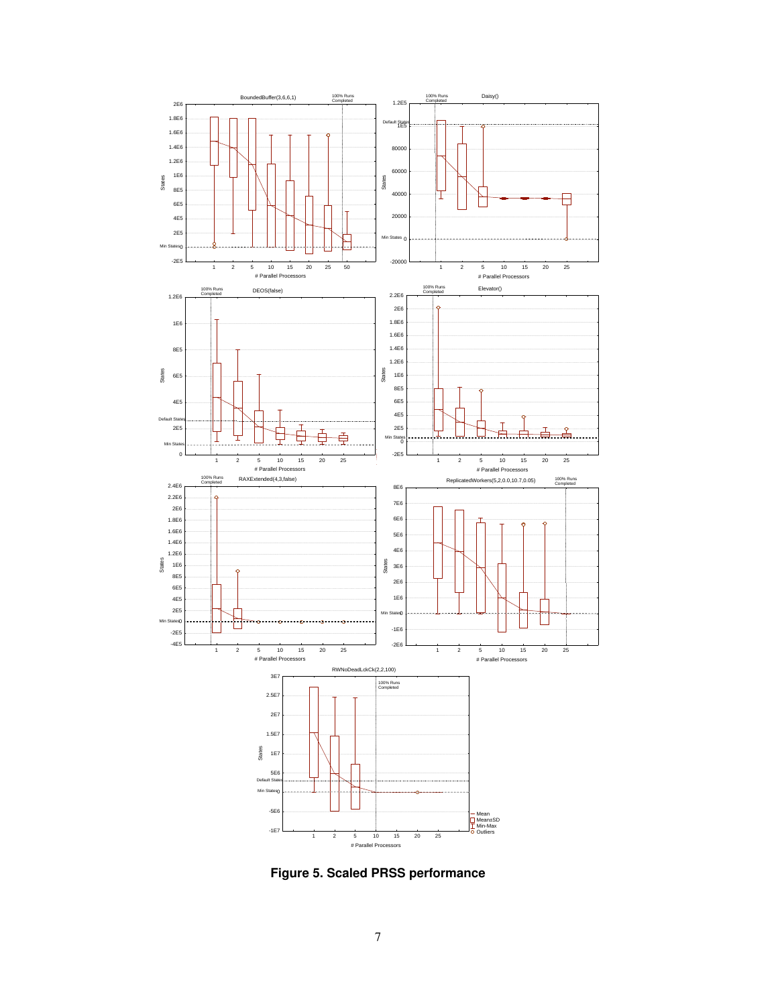

**Figure 5. Scaled PRSS performance**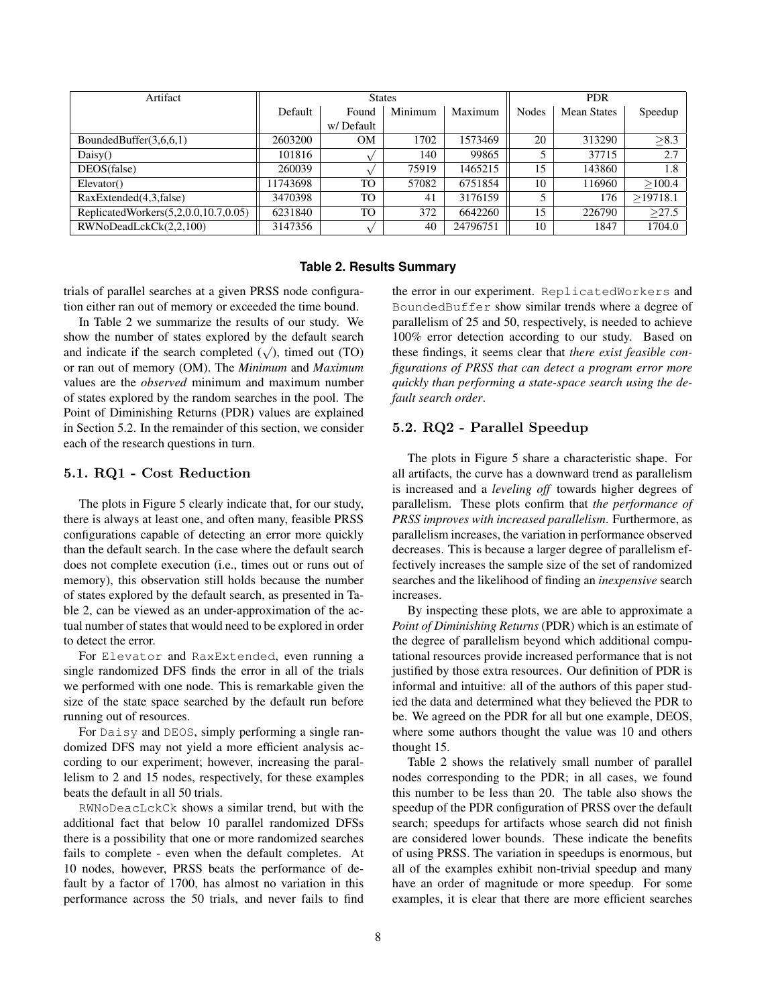| Artifact                             | <b>States</b> |           |         | <b>PDR</b> |              |                    |          |
|--------------------------------------|---------------|-----------|---------|------------|--------------|--------------------|----------|
|                                      | Default       | Found     | Minimum | Maximum    | <b>Nodes</b> | <b>Mean States</b> | Speedup  |
|                                      |               | w/Default |         |            |              |                    |          |
| BoundedBuffer(3,6,6,1)               | 2603200       | <b>OM</b> | 1702    | 1573469    | 20           | 313290             | >8.3     |
| Daisy()                              | 101816        |           | 140     | 99865      |              | 37715              | 2.7      |
| DEOS(false)                          | 260039        |           | 75919   | 1465215    | 15           | 143860             | 1.8      |
| Elevantor()                          | 1743698       | TO        | 57082   | 6751854    | 10           | 116960             | >100.4   |
| RaxExtended(4,3,false)               | 3470398       | TO        | 41      | 3176159    |              | 176                | >19718.1 |
| ReplicatedWorkers(5,2,0.0,10.7,0.05) | 6231840       | TO        | 372     | 6642260    | 15           | 226790             | >27.5    |
| RWNoDeadLckCk(2,2,100)               | 3147356       |           | 40      | 24796751   | 10           | 1847               | 1704.0   |

#### **Table 2. Results Summary**

trials of parallel searches at a given PRSS node configuration either ran out of memory or exceeded the time bound.

In Table 2 we summarize the results of our study. We show the number of states explored by the default search and indicate if the search completed  $(\sqrt)$ , timed out (TO) or ran out of memory (OM). The *Minimum* and *Maximum* values are the *observed* minimum and maximum number of states explored by the random searches in the pool. The Point of Diminishing Returns (PDR) values are explained in Section 5.2. In the remainder of this section, we consider each of the research questions in turn.

# 5.1. RQ1 - Cost Reduction

The plots in Figure 5 clearly indicate that, for our study, there is always at least one, and often many, feasible PRSS configurations capable of detecting an error more quickly than the default search. In the case where the default search does not complete execution (i.e., times out or runs out of memory), this observation still holds because the number of states explored by the default search, as presented in Table 2, can be viewed as an under-approximation of the actual number of states that would need to be explored in order to detect the error.

For Elevator and RaxExtended, even running a single randomized DFS finds the error in all of the trials we performed with one node. This is remarkable given the size of the state space searched by the default run before running out of resources.

For Daisy and DEOS, simply performing a single randomized DFS may not yield a more efficient analysis according to our experiment; however, increasing the parallelism to 2 and 15 nodes, respectively, for these examples beats the default in all 50 trials.

RWNoDeacLckCk shows a similar trend, but with the additional fact that below 10 parallel randomized DFSs there is a possibility that one or more randomized searches fails to complete - even when the default completes. At 10 nodes, however, PRSS beats the performance of default by a factor of 1700, has almost no variation in this performance across the 50 trials, and never fails to find

the error in our experiment. ReplicatedWorkers and BoundedBuffer show similar trends where a degree of parallelism of 25 and 50, respectively, is needed to achieve 100% error detection according to our study. Based on these findings, it seems clear that *there exist feasible configurations of PRSS that can detect a program error more quickly than performing a state-space search using the default search order*.

#### 5.2. RQ2 - Parallel Speedup

The plots in Figure 5 share a characteristic shape. For all artifacts, the curve has a downward trend as parallelism is increased and a *leveling off* towards higher degrees of parallelism. These plots confirm that *the performance of PRSS improves with increased parallelism*. Furthermore, as parallelism increases, the variation in performance observed decreases. This is because a larger degree of parallelism effectively increases the sample size of the set of randomized searches and the likelihood of finding an *inexpensive* search increases.

By inspecting these plots, we are able to approximate a *Point of Diminishing Returns* (PDR) which is an estimate of the degree of parallelism beyond which additional computational resources provide increased performance that is not justified by those extra resources. Our definition of PDR is informal and intuitive: all of the authors of this paper studied the data and determined what they believed the PDR to be. We agreed on the PDR for all but one example, DEOS, where some authors thought the value was 10 and others thought 15.

Table 2 shows the relatively small number of parallel nodes corresponding to the PDR; in all cases, we found this number to be less than 20. The table also shows the speedup of the PDR configuration of PRSS over the default search; speedups for artifacts whose search did not finish are considered lower bounds. These indicate the benefits of using PRSS. The variation in speedups is enormous, but all of the examples exhibit non-trivial speedup and many have an order of magnitude or more speedup. For some examples, it is clear that there are more efficient searches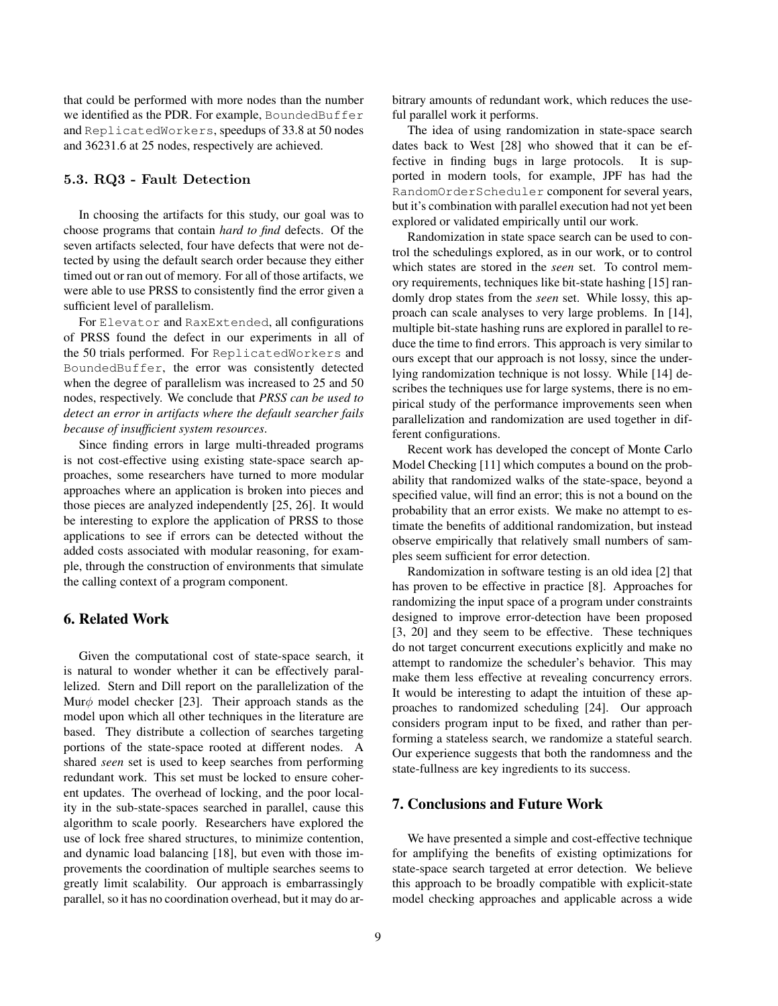that could be performed with more nodes than the number we identified as the PDR. For example, BoundedBuffer and ReplicatedWorkers, speedups of 33.8 at 50 nodes and 36231.6 at 25 nodes, respectively are achieved.

## 5.3. RQ3 - Fault Detection

In choosing the artifacts for this study, our goal was to choose programs that contain *hard to find* defects. Of the seven artifacts selected, four have defects that were not detected by using the default search order because they either timed out or ran out of memory. For all of those artifacts, we were able to use PRSS to consistently find the error given a sufficient level of parallelism.

For Elevator and RaxExtended, all configurations of PRSS found the defect in our experiments in all of the 50 trials performed. For ReplicatedWorkers and BoundedBuffer, the error was consistently detected when the degree of parallelism was increased to 25 and 50 nodes, respectively. We conclude that *PRSS can be used to detect an error in artifacts where the default searcher fails because of insufficient system resources*.

Since finding errors in large multi-threaded programs is not cost-effective using existing state-space search approaches, some researchers have turned to more modular approaches where an application is broken into pieces and those pieces are analyzed independently [25, 26]. It would be interesting to explore the application of PRSS to those applications to see if errors can be detected without the added costs associated with modular reasoning, for example, through the construction of environments that simulate the calling context of a program component.

## 6. Related Work

Given the computational cost of state-space search, it is natural to wonder whether it can be effectively parallelized. Stern and Dill report on the parallelization of the Mur $\phi$  model checker [23]. Their approach stands as the model upon which all other techniques in the literature are based. They distribute a collection of searches targeting portions of the state-space rooted at different nodes. A shared *seen* set is used to keep searches from performing redundant work. This set must be locked to ensure coherent updates. The overhead of locking, and the poor locality in the sub-state-spaces searched in parallel, cause this algorithm to scale poorly. Researchers have explored the use of lock free shared structures, to minimize contention, and dynamic load balancing [18], but even with those improvements the coordination of multiple searches seems to greatly limit scalability. Our approach is embarrassingly parallel, so it has no coordination overhead, but it may do arbitrary amounts of redundant work, which reduces the useful parallel work it performs.

The idea of using randomization in state-space search dates back to West [28] who showed that it can be effective in finding bugs in large protocols. It is supported in modern tools, for example, JPF has had the RandomOrderScheduler component for several years, but it's combination with parallel execution had not yet been explored or validated empirically until our work.

Randomization in state space search can be used to control the schedulings explored, as in our work, or to control which states are stored in the *seen* set. To control memory requirements, techniques like bit-state hashing [15] randomly drop states from the *seen* set. While lossy, this approach can scale analyses to very large problems. In [14], multiple bit-state hashing runs are explored in parallel to reduce the time to find errors. This approach is very similar to ours except that our approach is not lossy, since the underlying randomization technique is not lossy. While [14] describes the techniques use for large systems, there is no empirical study of the performance improvements seen when parallelization and randomization are used together in different configurations.

Recent work has developed the concept of Monte Carlo Model Checking [11] which computes a bound on the probability that randomized walks of the state-space, beyond a specified value, will find an error; this is not a bound on the probability that an error exists. We make no attempt to estimate the benefits of additional randomization, but instead observe empirically that relatively small numbers of samples seem sufficient for error detection.

Randomization in software testing is an old idea [2] that has proven to be effective in practice [8]. Approaches for randomizing the input space of a program under constraints designed to improve error-detection have been proposed [3, 20] and they seem to be effective. These techniques do not target concurrent executions explicitly and make no attempt to randomize the scheduler's behavior. This may make them less effective at revealing concurrency errors. It would be interesting to adapt the intuition of these approaches to randomized scheduling [24]. Our approach considers program input to be fixed, and rather than performing a stateless search, we randomize a stateful search. Our experience suggests that both the randomness and the state-fullness are key ingredients to its success.

# 7. Conclusions and Future Work

We have presented a simple and cost-effective technique for amplifying the benefits of existing optimizations for state-space search targeted at error detection. We believe this approach to be broadly compatible with explicit-state model checking approaches and applicable across a wide